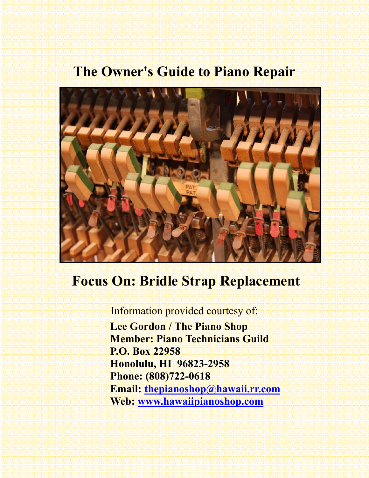# **The Owner's Guide to Piano Repair**



# **Focus On: Bridle Strap Replacement**

Information provided courtesy of:  **Lee Gordon / The Piano Shop Member: Piano Technicians Guild P.O. Box 22958 Honolulu, HI 96823-2958 Phone: (808)722-0618 Email: thepianoshop@hawaii.rr.com Web: www.hawaiipianoshop.com**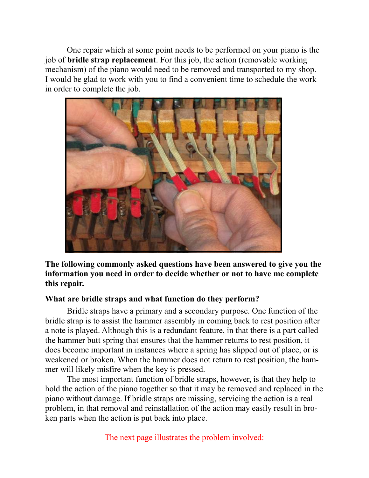One repair which at some point needs to be performed on your piano is the job of **bridle strap replacement**. For this job, the action (removable working mechanism) of the piano would need to be removed and transported to my shop. I would be glad to work with you to find a convenient time to schedule the work in order to complete the job.



**The following commonly asked questions have been answered to give you the information you need in order to decide whether or not to have me complete this repair.** 

#### **What are bridle straps and what function do they perform?**

 Bridle straps have a primary and a secondary purpose. One function of the bridle strap is to assist the hammer assembly in coming back to rest position after a note is played. Although this is a redundant feature, in that there is a part called the hammer butt spring that ensures that the hammer returns to rest position, it does become important in instances where a spring has slipped out of place, or is weakened or broken. When the hammer does not return to rest position, the hammer will likely misfire when the key is pressed.

 The most important function of bridle straps, however, is that they help to hold the action of the piano together so that it may be removed and replaced in the piano without damage. If bridle straps are missing, servicing the action is a real problem, in that removal and reinstallation of the action may easily result in broken parts when the action is put back into place.

The next page illustrates the problem involved: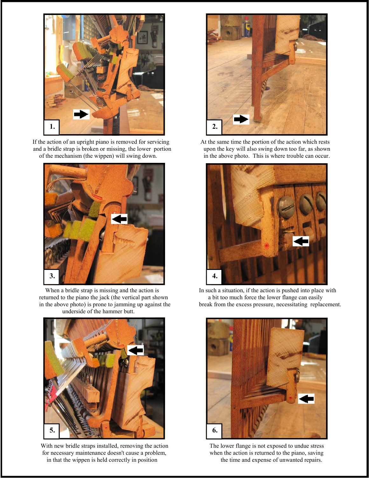

If the action of an upright piano is removed for servicing At the same time the portion of the action which rests and a bridle strap is broken or missing, the lower portion upon the key will also swing down too far, as sho and a bridle strap is broken or missing, the lower portion of the mechanism (the wippen) will swing down. in the above photo. This is where trouble can occur.



returned to the piano the jack (the vertical part shown underside of the hammer butt.



With new bridle straps installed, removing the action The lower flange is not exposed to undue stress for necessary maintenance doesn't cause a problem, when the action is returned to the piano, saving in that the wippen is held correctly in position the time and expense of unwanted repairs. in that the wippen is held correctly in position





When a bridle strap is missing and the action is In such a situation, if the action is pushed into place with turned to the piano the jack (the vertical part shown a bit too much force the lower flange can easily in the above photo) is prone to jamming up against the break from the excess pressure, necessitating replacement.

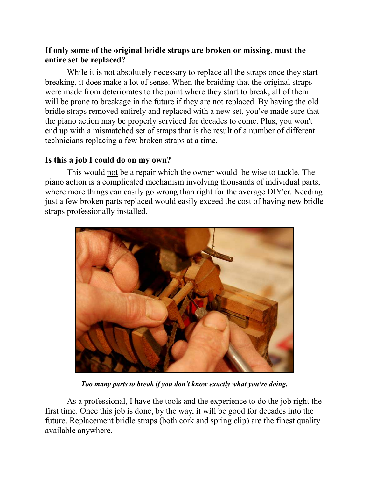### **If only some of the original bridle straps are broken or missing, must the entire set be replaced?**

 While it is not absolutely necessary to replace all the straps once they start breaking, it does make a lot of sense. When the braiding that the original straps were made from deteriorates to the point where they start to break, all of them will be prone to breakage in the future if they are not replaced. By having the old bridle straps removed entirely and replaced with a new set, you've made sure that the piano action may be properly serviced for decades to come. Plus, you won't end up with a mismatched set of straps that is the result of a number of different technicians replacing a few broken straps at a time.

#### **Is this a job I could do on my own?**

 This would not be a repair which the owner would be wise to tackle. The piano action is a complicated mechanism involving thousands of individual parts, where more things can easily go wrong than right for the average DIY'er. Needing just a few broken parts replaced would easily exceed the cost of having new bridle straps professionally installed.



*Too many parts to break if you don't know exactly what you're doing.* 

 As a professional, I have the tools and the experience to do the job right the first time. Once this job is done, by the way, it will be good for decades into the future. Replacement bridle straps (both cork and spring clip) are the finest quality available anywhere.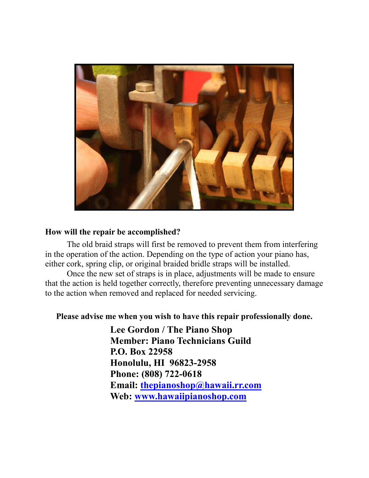

### **How will the repair be accomplished?**

 The old braid straps will first be removed to prevent them from interfering in the operation of the action. Depending on the type of action your piano has, either cork, spring clip, or original braided bridle straps will be installed.

 Once the new set of straps is in place, adjustments will be made to ensure that the action is held together correctly, therefore preventing unnecessary damage to the action when removed and replaced for needed servicing.

## **Please advise me when you wish to have this repair professionally done.**

 **Lee Gordon / The Piano Shop Member: Piano Technicians Guild P.O. Box 22958 Honolulu, HI 96823-2958 Phone: (808) 722-0618 Email: thepianoshop@hawaii.rr.com Web: www.hawaiipianoshop.com**